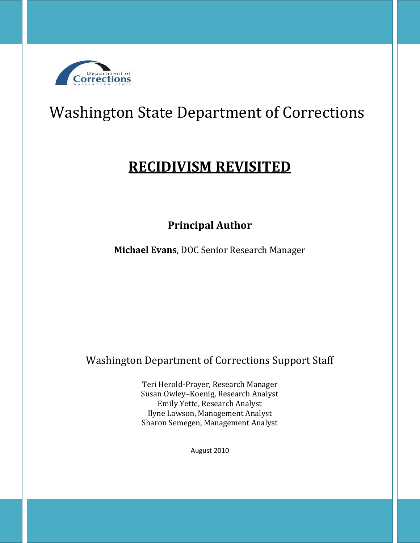

# Washington State Department of Corrections

## **RECIDIVISM REVISITED**

**Principal Author**

**Michael Evans**, DOC Senior Research Manager

Washington Department of Corrections Support Staff

Teri Herold-Prayer, Research Manager Susan Owley–Koenig, Research Analyst Emily Yette, Research Analyst Ilyne Lawson, Management Analyst Sharon Semegen, Management Analyst

August 2010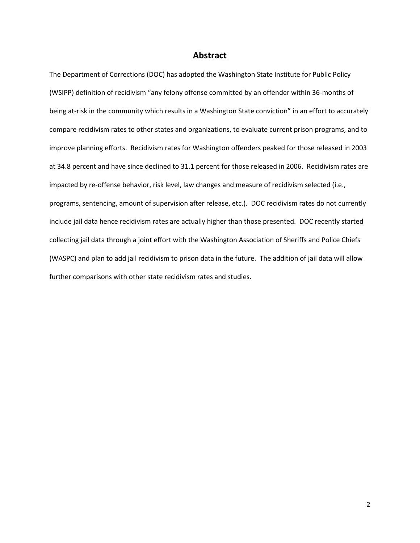### **Abstract**

The Department of Corrections (DOC) has adopted the Washington State Institute for Public Policy (WSIPP) definition of recidivism "any felony offense committed by an offender within 36-months of being at-risk in the community which results in a Washington State conviction" in an effort to accurately compare recidivism rates to other states and organizations, to evaluate current prison programs, and to improve planning efforts. Recidivism rates for Washington offenders peaked for those released in 2003 at 34.8 percent and have since declined to 31.1 percent for those released in 2006. Recidivism rates are impacted by re-offense behavior, risk level, law changes and measure of recidivism selected (i.e., programs, sentencing, amount of supervision after release, etc.). DOC recidivism rates do not currently include jail data hence recidivism rates are actually higher than those presented. DOC recently started collecting jail data through a joint effort with the Washington Association of Sheriffs and Police Chiefs (WASPC) and plan to add jail recidivism to prison data in the future. The addition of jail data will allow further comparisons with other state recidivism rates and studies.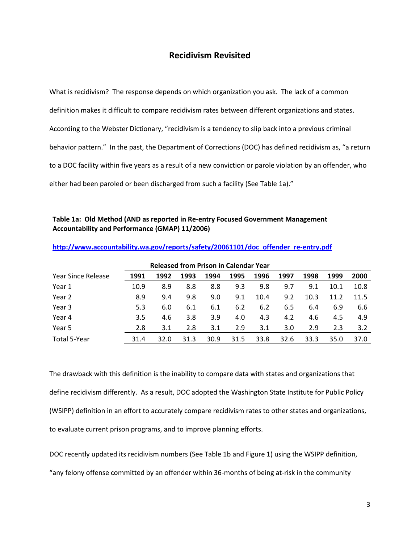## **Recidivism Revisited**

What is recidivism? The response depends on which organization you ask. The lack of a common definition makes it difficult to compare recidivism rates between different organizations and states. According to the Webster Dictionary, "recidivism is a tendency to slip back into a previous criminal behavior pattern." In the past, the Department of Corrections (DOC) has defined recidivism as, "a return to a DOC facility within five years as a result of a new conviction or parole violation by an offender, who either had been paroled or been discharged from such a facility (See Table 1a)."

### **Table 1a: Old Method (AND as reported in Re-entry Focused Government Management Accountability and Performance (GMAP) 11/2006)**

| <b>Released from Prison in Calendar Year</b> |      |      |      |      |      |      |      |      |      |      |
|----------------------------------------------|------|------|------|------|------|------|------|------|------|------|
| Year Since Release                           | 1991 | 1992 | 1993 | 1994 | 1995 | 1996 | 1997 | 1998 | 1999 | 2000 |
| Year 1                                       | 10.9 | 8.9  | 8.8  | 8.8  | 9.3  | 9.8  | 9.7  | 9.1  | 10.1 | 10.8 |
| Year 2                                       | 8.9  | 9.4  | 9.8  | 9.0  | 9.1  | 10.4 | 9.2  | 10.3 | 11.2 | 11.5 |
| Year 3                                       | 5.3  | 6.0  | 6.1  | 6.1  | 6.2  | 6.2  | 6.5  | 6.4  | 6.9  | 6.6  |
| Year 4                                       | 3.5  | 4.6  | 3.8  | 3.9  | 4.0  | 4.3  | 4.2  | 4.6  | 4.5  | 4.9  |
| Year 5                                       | 2.8  | 3.1  | 2.8  | 3.1  | 2.9  | 3.1  | 3.0  | 2.9  | 2.3  | 3.2  |
| Total 5-Year                                 | 31.4 | 32.0 | 31.3 | 30.9 | 31.5 | 33.8 | 32.6 | 33.3 | 35.0 | 37.0 |

**[http://www.accountability.wa.gov/reports/safety/20061101/doc\\_offender\\_re-entry.pdf](http://www.accountability.wa.gov/reports/safety/20061101/doc_offender_re-entry.pdf)**

The drawback with this definition is the inability to compare data with states and organizations that define recidivism differently. As a result, DOC adopted the Washington State Institute for Public Policy (WSIPP) definition in an effort to accurately compare recidivism rates to other states and organizations, to evaluate current prison programs, and to improve planning efforts.

DOC recently updated its recidivism numbers (See Table 1b and Figure 1) using the WSIPP definition,

"any felony offense committed by an offender within 36-months of being at-risk in the community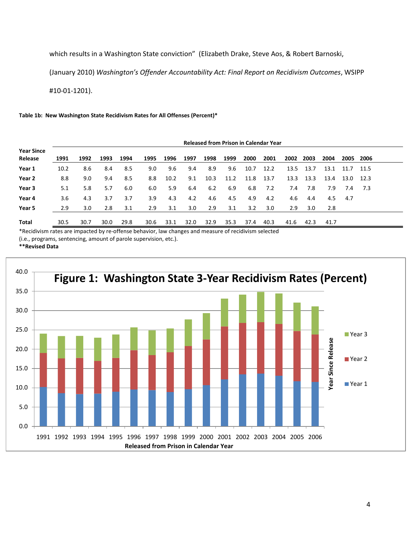which results in a Washington State conviction" (Elizabeth Drake, Steve Aos, & Robert Barnoski,

(January 2010) *Washington's Offender Accountability Act: Final Report on Recidivism Outcomes*, WSIPP

#10-01-1201).

#### **Table 1b: New Washington State Recidivism Rates for All Offenses (Percent)\***

|                              | <b>Released from Prison in Calendar Year</b> |      |      |      |      |      |      |      |      |      |      |      |           |      |      |        |
|------------------------------|----------------------------------------------|------|------|------|------|------|------|------|------|------|------|------|-----------|------|------|--------|
| <b>Year Since</b><br>Release | 1991                                         | 1992 | 1993 | 1994 | 1995 | 1996 | 1997 | 1998 | 1999 | 2000 | 2001 |      | 2002 2003 | 2004 | 2005 | - 2006 |
| Year 1                       | 10.2                                         | 8.6  | 8.4  | 8.5  | 9.0  | 9.6  | 9.4  | 8.9  | 9.6  | 10.7 | 12.2 | 13.5 | 13.7      | 13.1 | 11.7 | 11.5   |
| Year 2                       | 8.8                                          | 9.0  | 9.4  | 8.5  | 8.8  | 10.2 | 9.1  | 10.3 | 11.2 | 11.8 | 13.7 | 13.3 | 13.3      | 13.4 | 13.0 | 12.3   |
| Year 3                       | 5.1                                          | 5.8  | 5.7  | 6.0  | 6.0  | 5.9  | 6.4  | 6.2  | 6.9  | 6.8  | 7.2  | 7.4  | 7.8       | 7.9  | 7.4  | -7.3   |
| Year 4                       | 3.6                                          | 4.3  | 3.7  | 3.7  | 3.9  | 4.3  | 4.2  | 4.6  | 4.5  | 4.9  | 4.2  | 4.6  | 4.4       | 4.5  | 4.7  |        |
| Year 5                       | 2.9                                          | 3.0  | 2.8  | 3.1  | 2.9  | 3.1  | 3.0  | 2.9  | 3.1  | 3.2  | 3.0  | 2.9  | 3.0       | 2.8  |      |        |
| Total                        | 30.5                                         | 30.7 | 30.0 | 29.8 | 30.6 | 33.1 | 32.0 | 32.9 | 35.3 | 37.4 | 40.3 | 41.6 | 42.3      | 41.7 |      |        |

\*Recidivism rates are impacted by re-offense behavior, law changes and measure of recidivism selected

(i.e., programs, sentencing, amount of parole supervision, etc.).

#### **\*\*Revised Data**

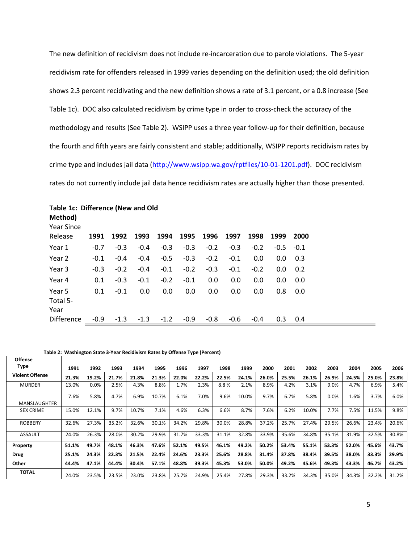The new definition of recidivism does not include re-incarceration due to parole violations. The 5-year recidivism rate for offenders released in 1999 varies depending on the definition used; the old definition shows 2.3 percent recidivating and the new definition shows a rate of 3.1 percent, or a 0.8 increase (See Table 1c). DOC also calculated recidivism by crime type in order to cross-check the accuracy of the methodology and results (See Table 2). WSIPP uses a three year follow-up for their definition, because the fourth and fifth years are fairly consistent and stable; additionally, WSIPP reports recidivism rates by crime type and includes jail data [\(http://www.wsipp.wa.gov/rptfiles/10-01-1201.pdf\)](http://www.wsipp.wa.gov/rptfiles/10-01-1201.pdf). DOC recidivism rates do not currently include jail data hence recidivism rates are actually higher than those presented.

| Method)           |        |        |        |        |        |         |        |        |        |        |  |
|-------------------|--------|--------|--------|--------|--------|---------|--------|--------|--------|--------|--|
| <b>Year Since</b> |        |        |        |        |        |         |        |        |        |        |  |
| Release           | 1991   | 1992   | 1993   | 1994   | 1995   | 1996    | 1997   | 1998   | 1999   | 2000   |  |
| Year 1            | $-0.7$ | $-0.3$ | $-0.4$ | $-0.3$ | $-0.3$ | $-0.2$  | $-0.3$ | $-0.2$ | $-0.5$ | $-0.1$ |  |
| Year 2            | $-0.1$ | $-0.4$ | $-0.4$ | $-0.5$ | $-0.3$ | $-0.2$  | $-0.1$ | 0.0    | 0.0    | 0.3    |  |
| Year 3            | $-0.3$ | $-0.2$ | $-0.4$ | $-0.1$ | $-0.2$ | $-0.3$  | $-0.1$ | $-0.2$ | 0.0    | 0.2    |  |
| Year 4            | 0.1    | $-0.3$ | $-0.1$ | $-0.2$ | $-0.1$ | $0.0\,$ | 0.0    | 0.0    | 0.0    | 0.0    |  |
| Year 5            | 0.1    | $-0.1$ | 0.0    | 0.0    | 0.0    | $0.0\,$ | 0.0    | 0.0    | 0.8    | 0.0    |  |
| Total 5-          |        |        |        |        |        |         |        |        |        |        |  |
| Year              |        |        |        |        |        |         |        |        |        |        |  |
| <b>Difference</b> | $-0.9$ | $-1.3$ | $-1.3$ | $-1.2$ | $-0.9$ | $-0.8$  | $-0.6$ | $-0.4$ | 0.3    | 0.4    |  |

## **Table 1c: Difference (New and Old**

**Offense** 

#### **Table 2: Washington State 3-Year Recidivism Rates by Offense Type (Percent)**

| Type                   | 1991  | 1992    | 1993  | 1994  | 1995  | 1996  | 1997  | 1998  | 1999  | 2000  | 2001  | 2002  | 2003  | 2004  | 2005  | 2006  |
|------------------------|-------|---------|-------|-------|-------|-------|-------|-------|-------|-------|-------|-------|-------|-------|-------|-------|
| <b>Violent Offense</b> | 21.3% | 19.2%   | 21.7% | 21.8% | 21.3% | 22.0% | 22.2% | 22.5% | 24.1% | 26.0% | 25.5% | 26.1% | 26.9% | 24.5% | 25.0% | 23.8% |
| <b>MURDER</b>          | 13.0% | $0.0\%$ | 2.5%  | 4.3%  | 8.8%  | 1.7%  | 2.3%  | 8.8%  | 2.1%  | 8.9%  | 4.2%  | 3.1%  | 9.0%  | 4.7%  | 6.9%  | 5.4%  |
| <b>MANSLAUGHTER</b>    | 7.6%  | 5.8%    | 4.7%  | 6.9%  | 10.7% | 6.1%  | 7.0%  | 9.6%  | 10.0% | 9.7%  | 6.7%  | 5.8%  | 0.0%  | 1.6%  | 3.7%  | 6.0%  |
| <b>SEX CRIME</b>       | 15.0% | 12.1%   | 9.7%  | 10.7% | 7.1%  | 4.6%  | 6.3%  | 6.6%  | 8.7%  | 7.6%  | 6.2%  | 10.0% | 7.7%  | 7.5%  | 11.5% | 9.8%  |
| <b>ROBBERY</b>         | 32.6% | 27.3%   | 35.2% | 32.6% | 30.1% | 34.2% | 29.8% | 30.0% | 28.8% | 37.2% | 25.7% | 27.4% | 29.5% | 26.6% | 23.4% | 20.6% |
| <b>ASSAULT</b>         | 24.0% | 26.3%   | 28.0% | 30.2% | 29.9% | 31.7% | 33.3% | 31.1% | 32.8% | 33.9% | 35.6% | 34.8% | 35.1% | 31.9% | 32.5% | 30.8% |
| Property               | 51.1% | 49.7%   | 48.1% | 46.3% | 47.6% | 52.1% | 49.5% | 46.1% | 49.2% | 50.2% | 53.4% | 55.1% | 53.3% | 52.0% | 45.6% | 43.7% |
| <b>Drug</b>            | 25.1% | 24.3%   | 22.3% | 21.5% | 22.4% | 24.6% | 23.3% | 25.6% | 28.8% | 31.4% | 37.8% | 38.4% | 39.5% | 38.0% | 33.3% | 29.9% |
| Other                  | 44.4% | 47.1%   | 44.4% | 30.4% | 57.1% | 48.8% | 39.3% | 45.3% | 53.0% | 50.0% | 49.2% | 45.6% | 49.3% | 43.3% | 46.7% | 43.2% |
| <b>TOTAL</b>           | 24.0% | 23.5%   | 23.5% | 23.0% | 23.8% | 25.7% | 24.9% | 25.4% | 27.8% | 29.3% | 33.2% | 34.3% | 35.0% | 34.3% | 32.2% | 31.2% |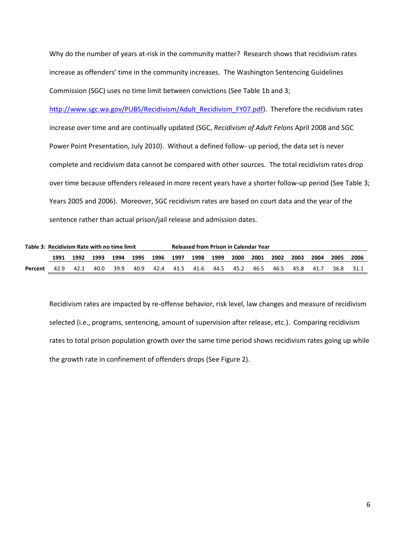Why do the number of years at-risk in the community matter? Research shows that recidivism rates increase as offenders' time in the community increases. The Washington Sentencing Guidelines Commission (SGC) uses no time limit between convictions (See Table 1b and 3;

[http://www.sgc.wa.gov/PUBS/Recidivism/Adult\\_Recidivism\\_FY07.pdf\)](http://www.sgc.wa.gov/PUBS/Recidivism/Adult_Recidivism_FY07.pdf). Therefore the recidivism rates increase over time and are continually updated (SGC, *Recidivism of Adult Felons* April 2008 and SGC Power Point Presentation, July 2010). Without a defined follow- up period, the data set is never complete and recidivism data cannot be compared with other sources. The total recidivism rates drop over time because offenders released in more recent years have a shorter follow-up period (See Table 3; Years 2005 and 2006). Moreover, SGC recidivism rates are based on court data and the year of the sentence rather than actual prison/jail release and admission dates.

|         | Table 3: Recidivism Rate with no time limit |      |      |      |      |      | <b>Released from Prison in Calendar Year</b> |      |      |      |      |      |      |      |      |      |  |
|---------|---------------------------------------------|------|------|------|------|------|----------------------------------------------|------|------|------|------|------|------|------|------|------|--|
|         | 1991                                        | 1992 | 1993 | 1994 | 1995 | 1996 | 1997                                         | 1998 | 1999 | 2000 | 2001 | 2002 | 2003 | 2004 | 2005 | 2006 |  |
| Percent | 42.9                                        | 42.1 | 40.0 | 39.9 | 40.9 | 42.4 | 41.5                                         | 41.6 | 44.5 | 45.2 | 46.5 | 46.5 | 45.8 | 41.7 | 36.8 | 31.1 |  |

Recidivism rates are impacted by re-offense behavior, risk level, law changes and measure of recidivism selected (i.e., programs, sentencing, amount of supervision after release, etc.). Comparing recidivism rates to total prison population growth over the same time period shows recidivism rates going up while the growth rate in confinement of offenders drops (See Figure 2).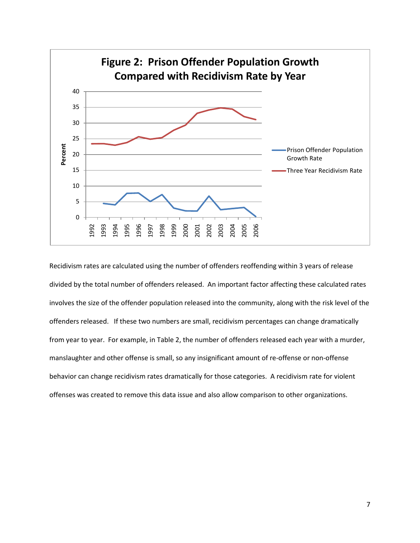

Recidivism rates are calculated using the number of offenders reoffending within 3 years of release divided by the total number of offenders released. An important factor affecting these calculated rates involves the size of the offender population released into the community, along with the risk level of the offenders released. If these two numbers are small, recidivism percentages can change dramatically from year to year. For example, in Table 2, the number of offenders released each year with a murder, manslaughter and other offense is small, so any insignificant amount of re-offense or non-offense behavior can change recidivism rates dramatically for those categories. A recidivism rate for violent offenses was created to remove this data issue and also allow comparison to other organizations.